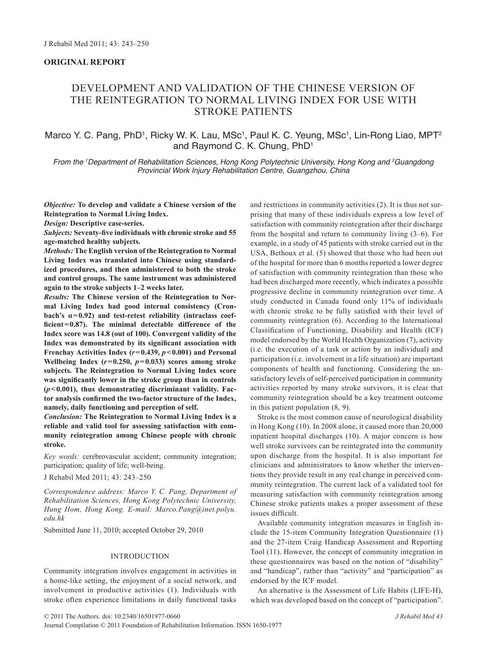# **ORIGINAL REPORT**

# Development and validation of the Chinese version of the Reintegration to Normal Living Index for use with stroke patients

# Marco Y. C. Pang, PhD<sup>1</sup>, Ricky W. K. Lau, MSc<sup>1</sup>, Paul K. C. Yeung, MSc<sup>1</sup>, Lin-Rong Liao, MPT<sup>2</sup> and Raymond C. K. Chung, PhD<sup>1</sup>

*From the 1 Department of Rehabilitation Sciences, Hong Kong Polytechnic University, Hong Kong and 2 Guangdong Provincial Work Injury Rehabilitation Centre, Guangzhou, China*

*Objective:* **To develop and validate a Chinese version of the Reintegration to Normal Living Index.**

*Design:* **Descriptive case-series.**

*Subjects:* **Seventy-five individuals with chronic stroke and 55 age-matched healthy subjects.**

*Methods:* **The English version of the Reintegration to Normal Living Index was translated into Chinese using standardized procedures, and then administered to both the stroke and control groups. The same instrument was administered again to the stroke subjects 1–2 weeks later.** 

*Results:* **The Chinese version of the Reintegration to Normal Living Index had good internal consistency (Cronbach's α=0.92) and test-retest reliability (intraclass coefficient=0.87). The minimal detectable difference of the Index score was 14.8 (out of 100). Convergent validity of the Index was demonstrated by its significant association with Frenchay Activities Index (***r***=0.439,** *p***<0.001) and Personal**  Wellbeing Index  $(r=0.250, p=0.033)$  scores among stroke **subjects. The Reintegration to Normal Living Index score was significantly lower in the stroke group than in controls (***p***<0.001), thus demonstrating discriminant validity. Factor analysis confirmed the two-factor structure of the Index, namely, daily functioning and perception of self.**

*Conclusion:* **The Reintegration to Normal Living Index is a reliable and valid tool for assessing satisfaction with community reintegration among Chinese people with chronic stroke.**

*Key words:* cerebrovascular accident; community integration; participation; quality of life; well-being.

J Rehabil Med 2011; 43: 243–250

*Correspondence address: Marco Y. C. Pang, Department of Rehabilitation Sciences, Hong Kong Polytechnic University, Hung Hom, Hong Kong. E-mail: Marco.Pang@inet.polyu. edu.hk*

Submitted June 11, 2010; accepted October 29, 2010

# INTRODUCTION

Community integration involves engagement in activities in a home-like setting, the enjoyment of a social network, and involvement in productive activities (1). Individuals with stroke often experience limitations in daily functional tasks and restrictions in community activities (2). It is thus not surprising that many of these individuals express a low level of satisfaction with community reintegration after their discharge from the hospital and return to community living (3–6). For example, in a study of 45 patients with stroke carried out in the USA, Bethoux et al. (5) showed that those who had been out of the hospital for more than 6 months reported a lower degree of satisfaction with community reintegration than those who had been discharged more recently, which indicates a possible progressive decline in community reintegration over time. A study conducted in Canada found only 11% of individuals with chronic stroke to be fully satisfied with their level of community reintegration (6). According to the International Classification of Functioning, Disability and Health (ICF) model endorsed by the World Health Organization (7), activity (i.e. the execution of a task or action by an individual) and participation (i.e. involvement in a life situation) are important components of health and functioning. Considering the unsatisfactory levels of self-perceived participation in community activities reported by many stroke survivors, it is clear that community reintegration should be a key treatment outcome in this patient population (8, 9).

Stroke is the most common cause of neurological disability in Hong Kong (10). In 2008 alone, it caused more than 20,000 inpatient hospital discharges (10). A major concern is how well stroke survivors can be reintegrated into the community upon discharge from the hospital. It is also important for clinicians and administrators to know whether the interventions they provide result in any real change in perceived community reintegration. The current lack of a validated tool for measuring satisfaction with community reintegration among Chinese stroke patients makes a proper assessment of these issues difficult.

Available community integration measures in English include the 15-item Community Integration Questionnaire (1) and the 27-item Craig Handicap Assessment and Reporting Tool (11). However, the concept of community integration in these questionnaires was based on the notion of "disability" and "handicap", rather than "activity" and "participation" as endorsed by the ICF model.

An alternative is the Assessment of Life Habits (LIFE-H), which was developed based on the concept of "participation".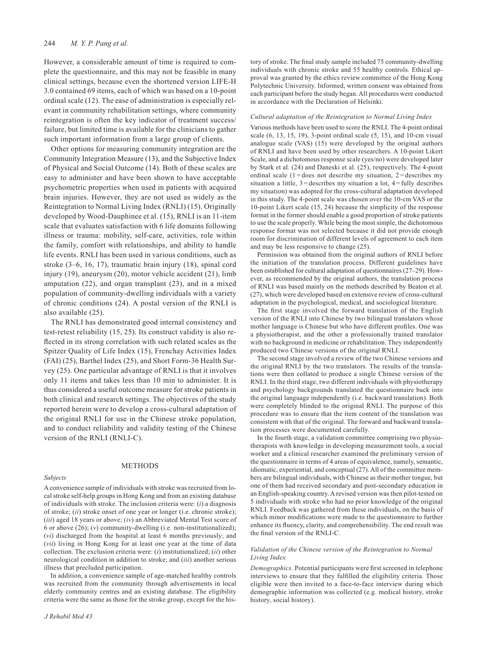However, a considerable amount of time is required to complete the questionnaire, and this may not be feasible in many clinical settings, because even the shortened version LIFE-H 3.0 contained 69 items, each of which was based on a 10-point ordinal scale (12). The ease of administration is especially relevant in community rehabilitation settings, where community reintegration is often the key indicator of treatment success/ failure, but limited time is available for the clinicians to gather such important information from a large group of clients.

Other options for measuring community integration are the Community Integration Measure (13), and the Subjective Index of Physical and Social Outcome (14). Both of these scales are easy to administer and have been shown to have acceptable psychometric properties when used in patients with acquired brain injuries. However, they are not used as widely as the Reintegration to Normal Living Index (RNLI) (15). Originally developed by Wood-Dauphinee et al. (15), RNLI is an 11-item scale that evaluates satisfaction with 6 life domains following illness or trauma: mobility, self-care, activities, role within the family, comfort with relationships, and ability to handle life events. RNLI has been used in various conditions, such as stroke (3–6, 16, 17), traumatic brain injury (18), spinal cord injury (19), aneurysm (20), motor vehicle accident (21), limb amputation (22), and organ transplant (23), and in a mixed population of community-dwelling individuals with a variety of chronic conditions (24). A postal version of the RNLI is also available (25).

The RNLI has demonstrated good internal consistency and test-retest reliability (15, 25). Its construct validity is also reflected in its strong correlation with such related scales as the Spitzer Quality of Life Index (15), Frenchay Activities Index (FAI) (25), Barthel Index (25), and Short Form-36 Health Survey (25). One particular advantage of RNLI is that it involves only 11 items and takes less than 10 min to administer. It is thus considered a useful outcome measure for stroke patients in both clinical and research settings. The objectives of the study reported herein were to develop a cross-cultural adaptation of the original RNLI for use in the Chinese stroke population, and to conduct reliability and validity testing of the Chinese version of the RNLI (RNLI-C).

### **METHODS**

#### *Subjects*

A convenience sample of individuals with stroke was recruited from local stroke self-help groups in Hong Kong and from an existing database of individuals with stroke. The inclusion criteria were: (*i*) a diagnosis of stroke; (*ii*) stroke onset of one year or longer (i.e. chronic stroke); (*iii*) aged 18 years or above; (*iv*) an Abbreviated Mental Test score of 6 or above (26); (*v*) community-dwelling (i.e. non-institutionalized); (*vi*) discharged from the hospital at least 6 months previously; and (*vii*) living in Hong Kong for at least one year at the time of data collection. The exclusion criteria were: (*i*) institutionalized; (*ii*) other neurological condition in addition to stroke; and (*iii*) another serious illness that precluded participation.

In addition, a convenience sample of age-matched healthy controls was recruited from the community through advertisements in local elderly community centres and an existing database. The eligibility criteria were the same as those for the stroke group, except for the history of stroke. The final study sample included 75 community-dwelling individuals with chronic stroke and 55 healthy controls. Ethical approval was granted by the ethics review committee of the Hong Kong Polytechnic University. Informed, written consent was obtained from each participant before the study began. All procedures were conducted in accordance with the Declaration of Helsinki.

#### *Cultural adaptation of the Reintegration to Normal Living Index*

Various methods have been used to score the RNLI. The 4-point ordinal scale  $(6, 13, 15, 19)$ , 3-point ordinal scale  $(5, 15)$ , and  $10$ -cm visual analogue scale (VAS) (15) were developed by the original authors of RNLI and have been used by other researchers. A 10-point Likert Scale, and a dichotomous response scale (yes/no) were developed later by Stark et al. (24) and Daneski et al. (25), respectively. The 4-point ordinal scale  $(1 =$ does not describe my situation,  $2 =$ describes my situation a little,  $3 =$  describes my situation a lot,  $4 =$  fully describes my situation) was adopted for the cross-cultural adaptation developed in this study. The 4-point scale was chosen over the 10-cm VAS or the 10-point Likert scale (15, 24) because the simplicity of the response format in the former should enable a good proportion of stroke patients to use the scale properly. While being the most simple, the dichotomous response format was not selected because it did not provide enough room for discrimination of different levels of agreement to each item and may be less responsive to change (25).

Permission was obtained from the original authors of RNLI before the initiation of the translation process. Different guidelines have been established for cultural adaptation of questionnaires (27–29). However, as recommended by the original authors, the translation process of RNLI was based mainly on the methods described by Beaton et al. (27), which were developed based on extensive review of cross-cultural adaptation in the psychological, medical, and sociological literature.

The first stage involved the forward translation of the English version of the RNLI into Chinese by two bilingual translators whose mother language is Chinese but who have different profiles. One was a physiotherapist, and the other a professionally trained translator with no background in medicine or rehabilitation. They independently produced two Chinese versions of the original RNLI.

The second stage involved a review of the two Chinese versions and the original RNLI by the two translators. The results of the translations were then collated to produce a single Chinese version of the RNLI. In the third stage, two different individuals with physiotherapy and psychology backgrounds translated the questionnaire back into the original language independently (i.e. backward translation). Both were completely blinded to the original RNLI. The purpose of this procedure was to ensure that the item content of the translation was consistent with that of the original. The forward and backward translation processes were documented carefully.

In the fourth stage, a validation committee comprising two physiotherapists with knowledge in developing measurement tools, a social worker and a clinical researcher examined the preliminary version of the questionnaire in terms of 4 areas of equivalence, namely, semantic, idiomatic, experiential, and conceptual (27). All of the committee members are bilingual individuals, with Chinese as their mother tongue, but one of them had received secondary and post-secondary education in an English-speaking country. A revised version was then pilot-tested on 5 individuals with stroke who had no prior knowledge of the original RNLI. Feedback was gathered from these individuals, on the basis of which minor modifications were made to the questionnaire to further enhance its fluency, clarity, and comprehensibility. The end result was the final version of the RNLI-C.

#### *Validation of the Chinese version of the Reintegration to Normal Living Index*

*Demographics.* Potential participants were first screened in telephone interviews to ensure that they fulfilled the eligibility criteria. Those eligible were then invited to a face-to-face interview during which demographic information was collected (e.g. medical history, stroke history, social history).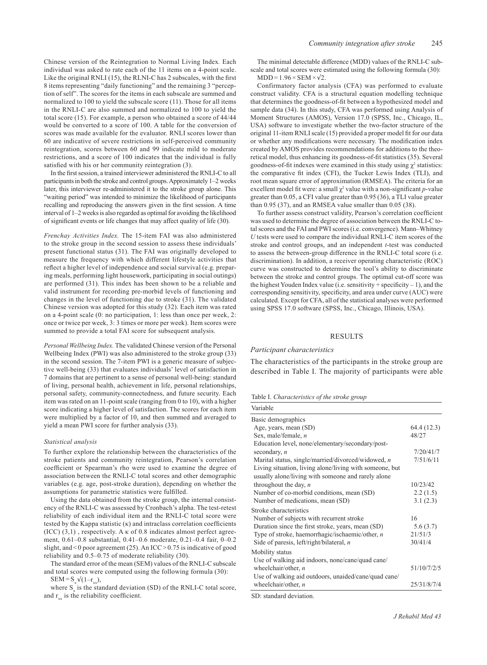Chinese version of the Reintegration to Normal Living Index*.* Each individual was asked to rate each of the 11 items on a 4-point scale. Like the original RNLI (15), the RLNI-C has 2 subscales, with the first 8 items representing "daily functioning" and the remaining 3 "perception of self". The scores for the items in each subscale are summed and normalized to 100 to yield the subscale score (11). Those for all items in the RNLI-C are also summed and normalized to 100 to yield the total score (15). For example, a person who obtained a score of 44/44 would be converted to a score of 100. A table for the conversion of scores was made available for the evaluator. RNLI scores lower than 60 are indicative of severe restrictions in self-perceived community reintegration, scores between 60 and 99 indicate mild to moderate restrictions, and a score of 100 indicates that the individual is fully satisfied with his or her community reintegration (3).

In the first session, a trained interviewer administered the RNLI-C to all participants in both the stroke and control groups. Approximately 1–2 weeks later, this interviewer re-administered it to the stroke group alone. This "waiting period" was intended to minimize the likelihood of participants recalling and reproducing the answers given in the first session. A time interval of 1–2 weeks is also regarded as optimal for avoiding the likelihood of significant events or life changes that may affect quality of life (30).

*Frenchay Activities Index.* The 15-item FAI was also administered to the stroke group in the second session to assess these individuals' present functional status (31). The FAI was originally developed to measure the frequency with which different lifestyle activities that reflect a higher level of independence and social survival (e.g. preparing meals, performing light housework, participating in social outings) are performed (31). This index has been shown to be a reliable and valid instrument for recording pre-morbid levels of functioning and changes in the level of functioning due to stroke (31). The validated Chinese version was adopted for this study (32). Each item was rated on a 4-point scale (0: no participation, 1: less than once per week, 2: once or twice per week, 3: 3 times or more per week). Item scores were summed to provide a total FAI score for subsequent analysis.

*Personal Wellbeing Index.* The validated Chinese version of the Personal Wellbeing Index (PWI) was also administered to the stroke group (33) in the second session. The 7-item PWI is a generic measure of subjective well-being (33) that evaluates individuals' level of satisfaction in 7 domains that are pertinent to a sense of personal well-being: standard of living, personal health, achievement in life, personal relationships, personal safety, community-connectedness, and future security. Each item was rated on an 11-point scale (ranging from 0 to 10), with a higher score indicating a higher level of satisfaction. The scores for each item were multiplied by a factor of 10, and then summed and averaged to yield a mean PWI score for further analysis (33).

#### *Statistical analysis*

To further explore the relationship between the characteristics of the stroke patients and community reintegration, Pearson's correlation coefficient or Spearman's rho were used to examine the degree of association between the RNLI-C total scores and other demographic variables (e.g. age, post-stroke duration), depending on whether the assumptions for parametric statistics were fulfilled.

Using the data obtained from the stroke group, the internal consistency of the RNLI-C was assessed by Cronbach's alpha. The test-retest reliability of each individual item and the RNLI-C total score were tested by the Kappa statistic  $(\kappa)$  and intraclass correlation coefficients (ICC)  $(3,1)$ , respectively. A  $\kappa$  of 0.8 indicates almost perfect agreement, 0.61–0.8 substantial, 0.41–0.6 moderate, 0.21–0.4 fair, 0–0.2 slight, and < 0 poor agreement (25). An ICC > 0.75 is indicative of good reliability and 0.5–0.75 of moderate reliability (30).

The standard error of the mean (SEM) values of the RNLI-C subscale and total scores were computed using the following formula (30):  $SEM = S_y \sqrt{(1-r_{xx})},$ 

where  $S_x$  is the standard deviation (SD) of the RNLI-C total score, and  $r_{xx}$  is the reliability coefficient.

The minimal detectable difference (MDD) values of the RNLI-C subscale and total scores were estimated using the following formula (30):  $MDD = 1.96 \times SEM \times \sqrt{2}$ .

Confirmatory factor analysis (CFA) was performed to evaluate construct validity. CFA is a structural equation modelling technique that determines the goodness-of-fit between a hypothesized model and sample data (34). In this study, CFA was performed using Analysis of Moment Structures (AMOS), Version 17.0 (SPSS, Inc., Chicago, IL, USA) software to investigate whether the two-factor structure of the original 11-item RNLI scale (15) provided a proper model fit for our data or whether any modifications were necessary. The modification index created by AMOS provides recommendations for additions to the theoretical model, thus enhancing its goodness-of-fit statistics (35). Several goodness-of-fit indexes were examined in this study using  $\chi^2$  statistics: the comparative fit index (CFI), the Tucker Lewis Index (TLI), and root mean square error of approximation (RMSEA). The criteria for an excellent model fit were: a small  $\chi^2$  value with a non-significant *p*-value greater than 0.05, a CFI value greater than 0.95 (36), a TLI value greater than 0.95 (37), and an RMSEA value smaller than 0.05 (38).

To further assess construct validity, Pearson's correlation coefficient was used to determine the degree of association between the RNLI-C total scores and the FAI and PWI scores (i.e. convergence). Mann–Whitney *U* tests were used to compare the individual RNLI-C item scores of the stroke and control groups, and an independent *t*-test was conducted to assess the between-group difference in the RNLI-C total score (i.e. discrimination). In addition, a receiver operating characteristic (ROC) curve was constructed to determine the tool's ability to discriminate between the stroke and control groups. The optimal cut-off score was the highest Youden Index value (i.e. sensitivity  $+$  specificity  $-1$ ), and the corresponding sensitivity, specificity, and area under curve (AUC) were calculated. Except for CFA, all of the statistical analyses were performed using SPSS 17.0 software (SPSS, Inc., Chicago, Illinois, USA).

#### RESULTS

#### *Participant characteristics*

The characteristics of the participants in the stroke group are described in Table I. The majority of participants were able

Table I. *Characteristics of the stroke group*

| Variable                                                |             |
|---------------------------------------------------------|-------------|
| Basic demographics                                      |             |
| Age, years, mean (SD)                                   | 64.4 (12.3) |
| Sex, male/female, $n$                                   | 48/27       |
| Education level, none/elementary/secondary/post-        |             |
| secondary, $n$                                          | 7/20/41/7   |
| Marital status, single/married/divorced/widowed, n      | 7/51/6/11   |
| Living situation, living alone/living with someone, but |             |
| usually alone/living with someone and rarely alone      |             |
| throughout the day, $n$                                 | 10/23/42    |
| Number of co-morbid conditions, mean (SD)               | 2.2(1.5)    |
| Number of medications, mean (SD)                        | 3.1(2.3)    |
| Stroke characteristics                                  |             |
| Number of subjects with recurrent stroke                | 16          |
| Duration since the first stroke, years, mean (SD)       | 5.6(3.7)    |
| Type of stroke, haemorrhagic/ischaemic/other, n         | 21/51/3     |
| Side of paresis, left/right/bilateral, n                | 30/41/4     |
| Mobility status                                         |             |
| Use of walking aid indoors, none/cane/quad cane/        |             |
| wheelchair/other, $n$                                   | 51/10/7/2/5 |
| Use of walking aid outdoors, unaided/cane/quad cane/    |             |
| wheelchair/other, $n$                                   | 25/31/8/7/4 |

SD: standard deviation.

*J Rehabil Med 43*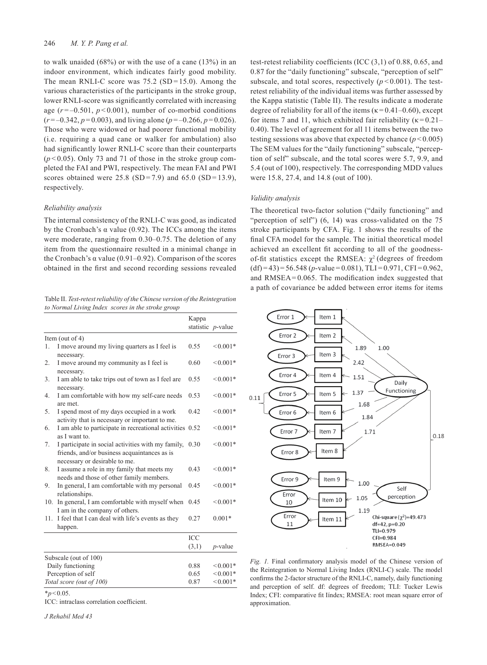to walk unaided (68%) or with the use of a cane (13%) in an indoor environment, which indicates fairly good mobility. The mean RNLI-C score was  $75.2$  (SD = 15.0). Among the various characteristics of the participants in the stroke group, lower RNLI-score was significantly correlated with increasing age  $(r = -0.501, p < 0.001)$ , number of co-morbid conditions  $(r=-0.342, p=0.003)$ , and living alone  $(p=-0.266, p=0.026)$ . Those who were widowed or had poorer functional mobility (i.e. requiring a quad cane or walker for ambulation) also had significantly lower RNLI-C score than their counterparts  $(p<0.05)$ . Only 73 and 71 of those in the stroke group completed the FAI and PWI, respectively. The mean FAI and PWI scores obtained were  $25.8$  (SD = 7.9) and 65.0 (SD = 13.9), respectively.

## *Reliability analysis*

The internal consistency of the RNLI-C was good, as indicated by the Cronbach's  $\alpha$  value (0.92). The ICCs among the items were moderate, ranging from 0.30–0.75. The deletion of any item from the questionnaire resulted in a minimal change in the Cronbach's  $\alpha$  value (0.91–0.92). Comparison of the scores obtained in the first and second recording sessions revealed

Table II. *Test-retest reliability of the Chinese version of the Reintegration to Normal Living Index scores in the stroke group*

|     |                                                                                                                                     | Kappa      |                      |
|-----|-------------------------------------------------------------------------------------------------------------------------------------|------------|----------------------|
|     |                                                                                                                                     |            | statistic $p$ -value |
|     | Item (out of $4$ )                                                                                                                  |            |                      |
| 1.  | I move around my living quarters as I feel is                                                                                       | 0.55       | ${}_{0.001*}$        |
|     | necessary.                                                                                                                          | 0.60       | ${}_{0.001*}$        |
| 2.  | I move around my community as I feel is<br>necessary.                                                                               |            |                      |
| 3.  | I am able to take trips out of town as I feel are<br>necessary.                                                                     | 0.55       | ${}_{0.001*}$        |
| 4.  | I am comfortable with how my self-care needs<br>are met.                                                                            | 0.53       | $< 0.001*$           |
| 5.  | I spend most of my days occupied in a work<br>activity that is necessary or important to me.                                        | 0.42       | ${}_{0.001*}$        |
| 6.  | I am able to participate in recreational activities 0.52<br>as I want to.                                                           |            | $< 0.001*$           |
| 7.  | I participate in social activities with my family,<br>friends, and/or business acquaintances as is<br>necessary or desirable to me. | 0.30       | $< 0.001*$           |
| 8.  | I assume a role in my family that meets my<br>needs and those of other family members.                                              | 0.43       | $< 0.001*$           |
| 9.  | In general, I am comfortable with my personal<br>relationships.                                                                     | 0.45       | $< 0.001*$           |
|     | 10. In general, I am comfortable with myself when<br>I am in the company of others.                                                 | 0.45       | ${}_{0.001*}$        |
| 11. | I feel that I can deal with life's events as they<br>happen.                                                                        | 0.27       | $0.001*$             |
|     |                                                                                                                                     | <b>ICC</b> |                      |
|     |                                                                                                                                     | (3,1)      | $p$ -value           |
|     | Subscale (out of 100)                                                                                                               |            |                      |
|     | Daily functioning                                                                                                                   | 0.88       | $< 0.001*$           |
|     | Perception of self                                                                                                                  | 0.65       | ${}_{0.001*}$        |
|     | Total score (out of 100)                                                                                                            | 0.87       | ${}_{0.001*}$        |

 $*_{p}$ <0.05.

ICC: intraclass correlation coefficient.

*J Rehabil Med 43*

test-retest reliability coefficients (ICC (3,1) of 0.88, 0.65, and 0.87 for the "daily functioning" subscale, "perception of self" subscale, and total scores, respectively  $(p < 0.001)$ . The testretest reliability of the individual items was further assessed by the Kappa statistic (Table II). The results indicate a moderate degree of reliability for all of the items ( $\kappa$  = 0.41–0.60), except for items 7 and 11, which exhibited fair reliability  $(\kappa = 0.21 -$ 0.40). The level of agreement for all 11 items between the two testing sessions was above that expected by chance  $(p < 0.005)$ The SEM values for the "daily functioning" subscale, "perception of self" subscale, and the total scores were 5.7, 9.9, and 5.4 (out of 100), respectively. The corresponding MDD values were 15.8, 27.4, and 14.8 (out of 100).

## *Validity analysis*

The theoretical two-factor solution ("daily functioning" and "perception of self") (6, 14) was cross-validated on the 75 stroke participants by CFA. Fig. 1 shows the results of the final CFA model for the sample. The initial theoretical model achieved an excellent fit according to all of the goodnessof-fit statistics except the RMSEA:  $\chi^2$  (degrees of freedom  $(df)=43$ ) = 56.548 (*p*-value = 0.081), TLI = 0.971, CFI = 0.962, and RMSEA= 0.065. The modification index suggested that a path of covariance be added between error items for items



*Fig. 1.* Final confirmatory analysis model of the Chinese version of the Reintegration to Normal Living Index (RNLI-C) scale. The model confirms the 2-factor structure of the RNLI-C, namely, daily functioning and perception of self. df: degrees of freedom; TLI: Tucker Lewis Index; CFI: comparative fit Iíndex; RMSEA: root mean square error of approximation.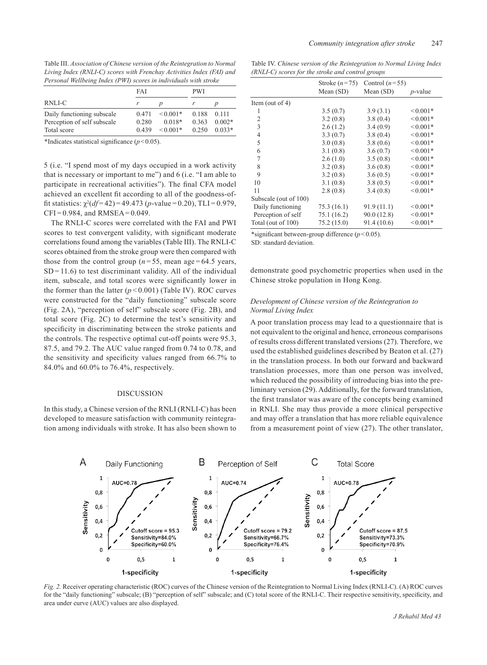Table III. *Association of Chinese version of the Reintegration to Normal Living Index (RNLI-C) scores with Frenchay Activities Index (FAI) and Personal Wellbeing Index (PWI) scores in individuals with stroke*

|                             | FAI   |               | <b>PWI</b> |          |
|-----------------------------|-------|---------------|------------|----------|
| RNLI-C                      |       |               |            |          |
| Daily functioning subscale  | 0.471 | $\leq 0.001*$ | 0.188      | 0.111    |
| Perception of self subscale | 0.280 | $0.018*$      | 0.363      | $0.002*$ |
| Total score                 | 0.439 | $\leq 0.001*$ | 0.250      | $0.033*$ |

\*Indicates statistical significance  $(p<0.05)$ .

5 (i.e. "I spend most of my days occupied in a work activity that is necessary or important to me") and 6 (i.e. "I am able to participate in recreational activities"). The final CFA model achieved an excellent fit according to all of the goodness-offit statistics:  $\chi^2(df=42) = 49.473(p-value=0.20)$ , TLI = 0.979,  $CFI = 0.984$ , and  $RMSEA = 0.049$ .

The RNLI-C scores were correlated with the FAI and PWI scores to test convergent validity, with significant moderate correlations found among the variables (Table III). The RNLI-C scores obtained from the stroke group were then compared with those from the control group  $(n=55)$ , mean age = 64.5 years,  $SD = 11.6$ ) to test discriminant validity. All of the individual item, subscale, and total scores were significantly lower in the former than the latter  $(p < 0.001)$  (Table IV). ROC curves were constructed for the "daily functioning" subscale score (Fig. 2A), "perception of self" subscale score (Fig. 2B), and total score (Fig. 2C) to determine the test's sensitivity and specificity in discriminating between the stroke patients and the controls. The respective optimal cut-off points were 95.3, 87.5, and 79.2. The AUC value ranged from 0.74 to 0.78, and the sensitivity and specificity values ranged from 66.7% to 84.0% and 60.0% to 76.4%, respectively.

# DISCUSSION

In this study, a Chinese version of the RNLI (RNLI-C) has been developed to measure satisfaction with community reintegration among individuals with stroke. It has also been shown to

Table IV. *Chinese version of the Reintegration to Normal Living Index (RNLI-C) scores for the stroke and control groups*

|                                                 | Stroke $(n=75)$          | Control $(n=55)$ |               |
|-------------------------------------------------|--------------------------|------------------|---------------|
|                                                 | Mean (SD)                | Mean (SD)        | $p$ -value    |
| Item (out of 4)                                 |                          |                  |               |
| 1                                               | 3.5(0.7)                 | 3.9(3.1)         | $0.001*$      |
| 2                                               | 3.2(0.8)                 | 3.8(0.4)         | $<0.001*$     |
| 3                                               | 2.6(1.2)                 | 3.4(0.9)         | $< 0.001*$    |
| $\overline{4}$                                  | 3.3(0.7)                 | 3.8(0.4)         | $<0.001*$     |
| 5                                               | 3.0(0.8)                 | 3.8(0.6)         | $< 0.001*$    |
| 6                                               | 3.1(0.8)                 | 3.6(0.7)         | ${}_{0.001*}$ |
| 7                                               | 2.6(1.0)                 | 3.5(0.8)         | $< 0.001*$    |
| 8                                               | 3.2(0.8)                 | 3.6(0.8)         | $0.001*$      |
| 9                                               | 3.2(0.8)                 | 3.6(0.5)         | ${}_{0.001*}$ |
| 10                                              | 3.1(0.8)                 | 3.8(0.5)         | $< 0.001*$    |
| 11                                              | 2.8(0.8)                 | 3.4(0.8)         | $< 0.001*$    |
| Subscale (out of 100)                           |                          |                  |               |
| Daily functioning                               | 75.3(16.1)               | 91.9(11.1)       | $<0.001*$     |
| Perception of self                              | 75.1 (16.2)              | 90.0(12.8)       | $0.001*$      |
| Total (out of 100)                              | 75.2(15.0)               | 91.4(10.6)       | ${}_{0.001*}$ |
| $\mathbf{u}$ , and the contract of $\mathbf{u}$ | $1' \cap C$ ( $\cap C$ ) |                  |               |

\*significant between-group difference (*p*<0.05).

SD: standard deviation.

demonstrate good psychometric properties when used in the Chinese stroke population in Hong Kong.

# *Development of Chinese version of the Reintegration to Normal Living Index*

A poor translation process may lead to a questionnaire that is not equivalent to the original and hence, erroneous comparisons of results cross different translated versions (27). Therefore, we used the established guidelines described by Beaton et al. (27) in the translation process. In both our forward and backward translation processes, more than one person was involved, which reduced the possibility of introducing bias into the preliminary version (29). Additionally, for the forward translation, the first translator was aware of the concepts being examined in RNLI. She may thus provide a more clinical perspective and may offer a translation that has more reliable equivalence from a measurement point of view (27). The other translator,



*Fig. 2.* Receiver operating characteristic (ROC) curves of the Chinese version of the Reintegration to Normal Living Index (RNLI-C). (A) ROC curves for the "daily functioning" subscale; (B) "perception of self" subscale; and (C) total score of the RNLI-C. Their respective sensitivity, specificity, and area under curve (AUC) values are also displayed.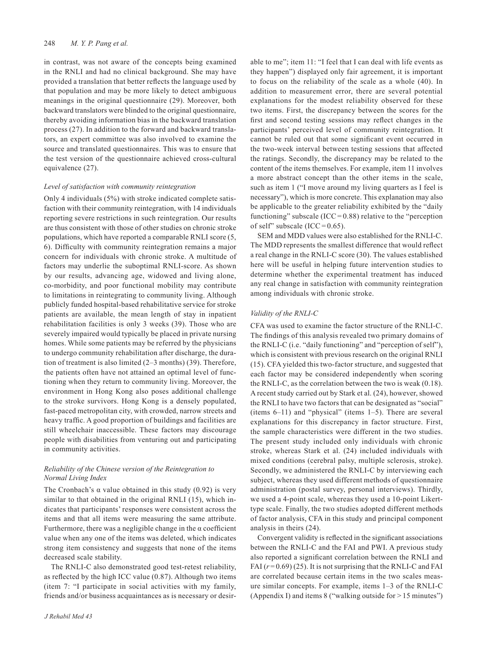## 248 *M. Y. P. Pang et al.*

in contrast, was not aware of the concepts being examined in the RNLI and had no clinical background. She may have provided a translation that better reflects the language used by that population and may be more likely to detect ambiguous meanings in the original questionnaire (29). Moreover, both backward translators were blinded to the original questionnaire, thereby avoiding information bias in the backward translation process (27). In addition to the forward and backward translators, an expert committee was also involved to examine the source and translated questionnaires. This was to ensure that the test version of the questionnaire achieved cross-cultural equivalence (27).

#### *Level of satisfaction with community reintegration*

Only 4 individuals (5%) with stroke indicated complete satisfaction with their community reintegration, with 14 individuals reporting severe restrictions in such reintegration. Our results are thus consistent with those of other studies on chronic stroke populations, which have reported a comparable RNLI score (5, 6). Difficulty with community reintegration remains a major concern for individuals with chronic stroke. A multitude of factors may underlie the suboptimal RNLI-score. As shown by our results, advancing age, widowed and living alone, co-morbidity, and poor functional mobility may contribute to limitations in reintegrating to community living. Although publicly funded hospital-based rehabilitative service for stroke patients are available, the mean length of stay in inpatient rehabilitation facilities is only 3 weeks (39). Those who are severely impaired would typically be placed in private nursing homes. While some patients may be referred by the physicians to undergo community rehabilitation after discharge, the duration of treatment is also limited (2–3 months) (39). Therefore, the patients often have not attained an optimal level of functioning when they return to community living. Moreover, the environment in Hong Kong also poses additional challenge to the stroke survivors. Hong Kong is a densely populated, fast-paced metropolitan city, with crowded, narrow streets and heavy traffic. A good proportion of buildings and facilities are still wheelchair inaccessible. These factors may discourage people with disabilities from venturing out and participating in community activities.

## *Reliability of the Chinese version of the Reintegration to Normal Living Index*

The Cronbach's  $\alpha$  value obtained in this study (0.92) is very similar to that obtained in the original RNLI (15), which indicates that participants' responses were consistent across the items and that all items were measuring the same attribute. Furthermore, there was a negligible change in the  $\alpha$  coefficient value when any one of the items was deleted, which indicates strong item consistency and suggests that none of the items decreased scale stability.

The RNLI-C also demonstrated good test-retest reliability, as reflected by the high ICC value (0.87). Although two items (item 7: "I participate in social activities with my family, friends and/or business acquaintances as is necessary or desirable to me"; item 11: "I feel that I can deal with life events as they happen") displayed only fair agreement, it is important to focus on the reliability of the scale as a whole (40). In addition to measurement error, there are several potential explanations for the modest reliability observed for these two items. First, the discrepancy between the scores for the first and second testing sessions may reflect changes in the participants' perceived level of community reintegration. It cannot be ruled out that some significant event occurred in the two-week interval between testing sessions that affected the ratings. Secondly, the discrepancy may be related to the content of the items themselves. For example, item 11 involves a more abstract concept than the other items in the scale, such as item 1 ("I move around my living quarters as I feel is necessary"), which is more concrete. This explanation may also be applicable to the greater reliability exhibited by the "daily functioning" subscale (ICC= $0.88$ ) relative to the "perception of self" subscale (ICC= $0.65$ ).

SEM and MDD values were also established for the RNLI-C. The MDD represents the smallest difference that would reflect a real change in the RNLI-C score (30). The values established here will be useful in helping future intervention studies to determine whether the experimental treatment has induced any real change in satisfaction with community reintegration among individuals with chronic stroke.

## *Validity of the RNLI-C*

CFA was used to examine the factor structure of the RNLI-C. The findings of this analysis revealed two primary domains of the RNLI-C (i.e. "daily functioning" and "perception of self"), which is consistent with previous research on the original RNLI (15). CFA yielded this two-factor structure, and suggested that each factor may be considered independently when scoring the RNLI-C, as the correlation between the two is weak (0.18). A recent study carried out by Stark et al. (24), however, showed the RNLI to have two factors that can be designated as "social" (items 6–11) and "physical" (items 1–5). There are several explanations for this discrepancy in factor structure. First, the sample characteristics were different in the two studies. The present study included only individuals with chronic stroke, whereas Stark et al. (24) included individuals with mixed conditions (cerebral palsy, multiple sclerosis, stroke). Secondly, we administered the RNLI-C by interviewing each subject, whereas they used different methods of questionnaire administration (postal survey, personal interviews). Thirdly, we used a 4-point scale, whereas they used a 10-point Likerttype scale. Finally, the two studies adopted different methods of factor analysis, CFA in this study and principal component analysis in theirs (24).

Convergent validity is reflected in the significant associations between the RNLI-C and the FAI and PWI. A previous study also reported a significant correlation between the RNLI and FAI  $(r=0.69)$  (25). It is not surprising that the RNLI-C and FAI are correlated because certain items in the two scales measure similar concepts. For example, items 1–3 of the RNLI-C (Appendix I) and items 8 ("walking outside for > 15 minutes")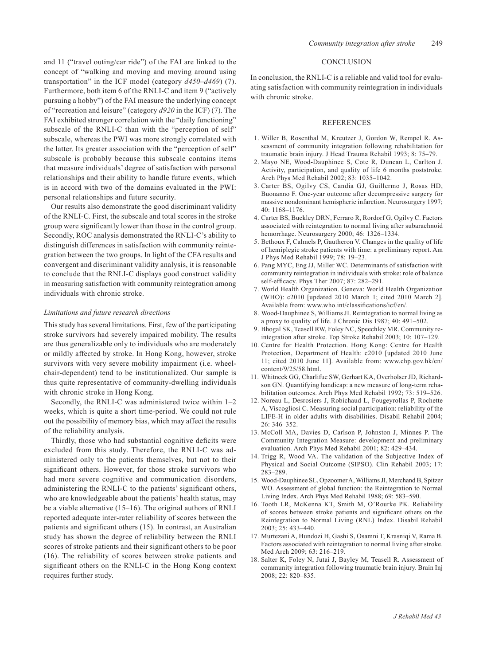and 11 ("travel outing/car ride") of the FAI are linked to the concept of "walking and moving and moving around using transportation" in the ICF model (category *d450–d469*) (7). Furthermore, both item 6 of the RNLI-C and item 9 ("actively pursuing a hobby") of the FAI measure the underlying concept of "recreation and leisure" (category *d920* in the ICF) (7). The FAI exhibited stronger correlation with the "daily functioning" subscale of the RNLI-C than with the "perception of self" subscale, whereas the PWI was more strongly correlated with the latter. Its greater association with the "perception of self" subscale is probably because this subscale contains items that measure individuals' degree of satisfaction with personal relationships and their ability to handle future events, which is in accord with two of the domains evaluated in the PWI: personal relationships and future security.

Our results also demonstrate the good discriminant validity of the RNLI-C. First, the subscale and total scores in the stroke group were significantly lower than those in the control group. Secondly, ROC analysis demonstrated the RNLI-C's ability to distinguish differences in satisfaction with community reintegration between the two groups. In light of the CFA results and convergent and discriminant validity analysis, it is reasonable to conclude that the RNLI-C displays good construct validity in measuring satisfaction with community reintegration among individuals with chronic stroke.

## *Limitations and future research directions*

This study has several limitations. First, few of the participating stroke survivors had severely impaired mobility. The results are thus generalizable only to individuals who are moderately or mildly affected by stroke. In Hong Kong, however, stroke survivors with very severe mobility impairment (i.e. wheelchair-dependent) tend to be institutionalized. Our sample is thus quite representative of community-dwelling individuals with chronic stroke in Hong Kong.

Secondly, the RNLI-C was administered twice within 1–2 weeks, which is quite a short time-period. We could not rule out the possibility of memory bias, which may affect the results of the reliability analysis.

Thirdly, those who had substantial cognitive deficits were excluded from this study. Therefore, the RNLI-C was administered only to the patients themselves, but not to their significant others. However, for those stroke survivors who had more severe cognitive and communication disorders, administering the RNLI-C to the patients' significant others, who are knowledgeable about the patients' health status, may be a viable alternative (15–16). The original authors of RNLI reported adequate inter-rater reliability of scores between the patients and significant others (15). In contrast, an Australian study has shown the degree of reliability between the RNLI scores of stroke patients and their significant others to be poor (16). The reliability of scores between stroke patients and significant others on the RNLI-C in the Hong Kong context requires further study.

## **CONCLUSION**

In conclusion, the RNLI-C is a reliable and valid tool for evaluating satisfaction with community reintegration in individuals with chronic stroke.

#### **REFERENCES**

- 1. Willer B, Rosenthal M, Kreutzer J, Gordon W, Rempel R. Assessment of community integration following rehabilitation for traumatic brain injury. J Head Trauma Rehabil 1993; 8: 75–79.
- 2. Mayo NE, Wood-Dauphinee S, Cote R, Duncan L, Carlton J. Activity, participation, and quality of life 6 months poststroke. Arch Phys Med Rehabil 2002; 83: 1035–1042.
- 3. Carter BS, Ogilvy CS, Candia GJ, Guillermo J, Rosas HD, Buonanno F. One-year outcome after decompressive surgery for massive nondominant hemispheric infarction. Neurosurgery 1997; 40: 1168–1176.
- 4. Carter BS, Buckley DRN, Ferraro R, Rordorf G, Ogilvy C. Factors associated with reintegration to normal living after subarachnoid hemorrhage. Neurosurgery 2000; 46: 1326–1334.
- 5. Bethoux F, Calmels P, Gautheron V. Changes in the quality of life of hemiplegic stroke patients with time: a preliminary report. Am J Phys Med Rehabil 1999; 78: 19–23.
- 6. Pang MYC, Eng JJ, Miller WC. Determinants of satisfaction with community reintegration in individuals with stroke: role of balance self-efficacy. Phys Ther 2007; 87: 282–291.
- 7. World Health Organization. Geneva: World Health Organization (WHO): c2010 [updated 2010 March 1; cited 2010 March 2]. Available from: www.who.int/classifications/icf/en/.
- 8. Wood-Dauphinee S, Williams JI. Reintegration to normal living as a proxy to quality of life. J Chronic Dis 1987; 40: 491–502.
- 9. Bhogal SK, Teasell RW, Foley NC, Speechley MR. Community reintegration after stroke. Top Stroke Rehabil 2003; 10: 107–129.
- 10. Centre for Health Protection. Hong Kong: Centre for Health Protection, Department of Health: c2010 [updated 2010 June 11; cited 2010 June 11]. Available from: www.chp.gov.hk/en/ content/9/25/58.html.
- 11. Whitneck GG, Charlifue SW, Gerhart KA, Overholser JD, Richardson GN. Quantifying handicap: a new measure of long-term rehabilitation outcomes. Arch Phys Med Rehabil 1992; 73: 519–526.
- 12. Noreau L, Desrosiers J, Robichaud L, Fougeyrollas P, Rochette A, Viscogliosi C. Measuring social participation: reliability of the LIFE-H in older adults with disabilities. Disabil Rehabil 2004; 26: 346–352.
- 13. McColl MA, Davies D, Carlson P, Johnston J, Minnes P. The Community Integration Measure: development and preliminary evaluation. Arch Phys Med Rehabil 2001; 82: 429–434.
- 14. Trigg R, Wood VA. The validation of the Subjective Index of Physical and Social Outcome (SIPSO). Clin Rehabil 2003; 17: 283–289.
- 15. Wood-Dauphinee SL, Opzoomer A, Williams JI, Merchand B, Spitzer WO. Assessment of global function: the Reintegration to Normal Living Index. Arch Phys Med Rehabil 1988; 69: 583–590.
- 16. Tooth LR, McKenna KT, Smith M, O'Rourke PK. Reliability of scores between stroke patients and significant others on the Reintegration to Normal Living (RNL) Index. Disabil Rehabil 2003; 25: 433–440.
- 17. Murtezani A, Hundozi H, Gashi S, Osamni T, Krasniqi V, Rama B. Factors associated with reintegration to normal living after stroke. Med Arch 2009; 63: 216–219.
- 18. Salter K, Foley N, Jutai J, Bayley M, Teasell R. Assessment of community integration following traumatic brain injury. Brain Inj 2008; 22: 820–835.